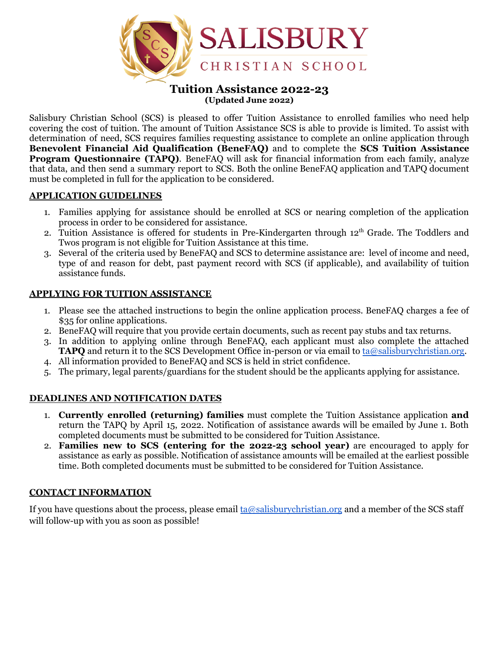

#### **Tuition Assistance 2022-23 (Updated June 2022)**

Salisbury Christian School (SCS) is pleased to offer Tuition Assistance to enrolled families who need help covering the cost of tuition. The amount of Tuition Assistance SCS is able to provide is limited. To assist with determination of need, SCS requires families requesting assistance to complete an online application through **Benevolent Financial Aid Qualification (BeneFAQ)** and to complete the **SCS Tuition Assistance Program Questionnaire (TAPQ)**. BeneFAQ will ask for financial information from each family, analyze that data, and then send a summary report to SCS. Both the online BeneFAQ application and TAPQ document must be completed in full for the application to be considered.

#### **APPLICATION GUIDELINES**

- 1. Families applying for assistance should be enrolled at SCS or nearing completion of the application process in order to be considered for assistance.
- 2. Tuition Assistance is offered for students in Pre-Kindergarten through 12<sup>th</sup> Grade. The Toddlers and Twos program is not eligible for Tuition Assistance at this time.
- 3. Several of the criteria used by BeneFAQ and SCS to determine assistance are: level of income and need, type of and reason for debt, past payment record with SCS (if applicable), and availability of tuition assistance funds.

### **APPLYING FOR TUITION ASSISTANCE**

- 1. Please see the attached instructions to begin the online application process. BeneFAQ charges a fee of \$35 for online applications.
- 2. BeneFAQ will require that you provide certain documents, such as recent pay stubs and tax returns.
- 3. In addition to applying online through BeneFAQ, each applicant must also complete the attached **TAPQ** and return it to the SCS Development Office in-person or via email to [ta@salisburychristian.org](mailto:ta@salisburychristian.org).
- 4. All information provided to BeneFAQ and SCS is held in strict confidence.
- 5. The primary, legal parents/guardians for the student should be the applicants applying for assistance.

### **DEADLINES AND NOTIFICATION DATES**

- 1. **Currently enrolled (returning) families** must complete the Tuition Assistance application **and** return the TAPQ by April 15, 2022. Notification of assistance awards will be emailed by June 1. Both completed documents must be submitted to be considered for Tuition Assistance.
- 2. **Families new to SCS (entering for the 2022-23 school year)** are encouraged to apply for assistance as early as possible. Notification of assistance amounts will be emailed at the earliest possible time. Both completed documents must be submitted to be considered for Tuition Assistance.

#### **CONTACT INFORMATION**

If you have questions about the process, please email  $ta@salisburychristian.org$  and a member of the SCS staff will follow-up with you as soon as possible!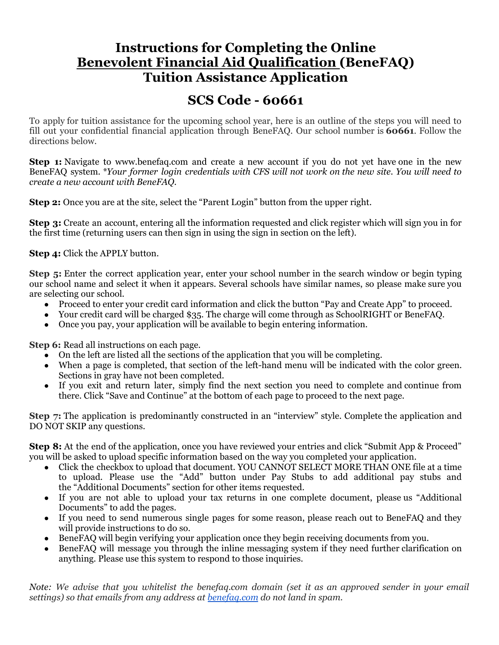# **Instructions for Completing the Online Benevolent Financial Aid Qualification (BeneFAQ) Tuition Assistance Application**

# **SCS Code - 60661**

To apply for tuition assistance for the upcoming school year, here is an outline of the steps you will need to fill out your confidential financial application through BeneFAQ. Our school number is **60661**. Follow the directions below.

**Step 1:** Navigate to www.benefaq.com and create a new account if you do not yet have one in the new BeneFAQ system. *\*Your former login credentials with CFS will not work on the new site. You will need to create a new account with BeneFAQ.*

**Step 2:** Once you are at the site, select the "Parent Login" button from the upper right.

**Step 3:** Create an account, entering all the information requested and click register which will sign you in for the first time (returning users can then sign in using the sign in section on the left).

**Step 4:** Click the APPLY button.

**Step 5:** Enter the correct application year, enter your school number in the search window or begin typing our school name and select it when it appears. Several schools have similar names, so please make sure you are selecting our school.

- Proceed to enter your credit card information and click the button "Pay and Create App" to proceed.
- Your credit card will be charged \$35. The charge will come through as SchoolRIGHT or BeneFAQ.
- Once you pay, your application will be available to begin entering information.

**Step 6:** Read all instructions on each page.

- On the left are listed all the sections of the application that you will be completing.
- When a page is completed, that section of the left-hand menu will be indicated with the color green. Sections in gray have not been completed.
- If you exit and return later, simply find the next section you need to complete and continue from there. Click "Save and Continue" at the bottom of each page to proceed to the next page.

**Step** 7: The application is predominantly constructed in an "interview" style. Complete the application and DO NOT SKIP any questions.

**Step 8:** At the end of the application, once you have reviewed your entries and click "Submit App & Proceed" you will be asked to upload specific information based on the way you completed your application.

- Click the checkbox to upload that document. YOU CANNOT SELECT MORE THAN ONE file at a time to upload. Please use the "Add" button under Pay Stubs to add additional pay stubs and the "Additional Documents" section for other items requested.
- If you are not able to upload your tax returns in one complete document, please us "Additional" Documents" to add the pages.
- If you need to send numerous single pages for some reason, please reach out to BeneFAQ and they will provide instructions to do so.
- Benefact will begin verifying your application once they begin receiving documents from you.
- BeneFAQ will message you through the inline messaging system if they need further clarification on anything. Please use this system to respond to those inquiries.

Note: We advise that you whitelist the benefaq.com domain (set it as an approved sender in your email *settings) so that emails from any address at [benefaq.com](http://benefaq.com/) do not land in spam.*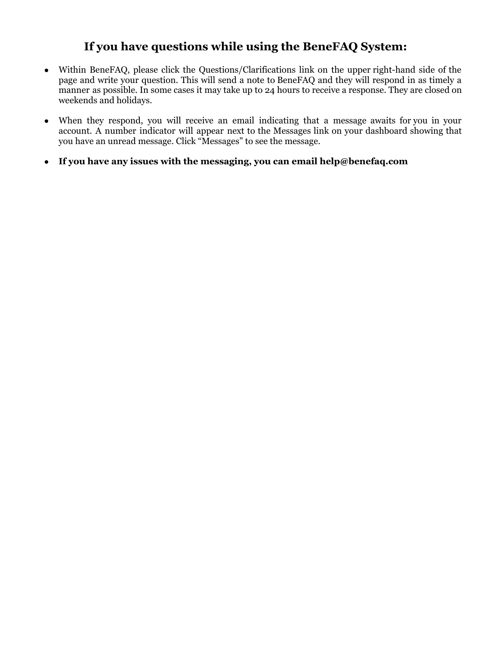# **If you have questions while using the BeneFAQ System:**

- Within BeneFAQ, please click the Questions/Clarifications link on the upper right-hand side of the page and write your question. This will send a note to BeneFAQ and they will respond in as timely a manner as possible. In some cases it may take up to 24 hours to receive a response. They are closed on weekends and holidays.
- When they respond, you will receive an email indicating that a message awaits for you in your account. A number indicator will appear next to the Messages link on your dashboard showing that you have an unread message. Click "Messages" to see the message.
- **If you have any issues with the messaging, you can email help@benefaq.com**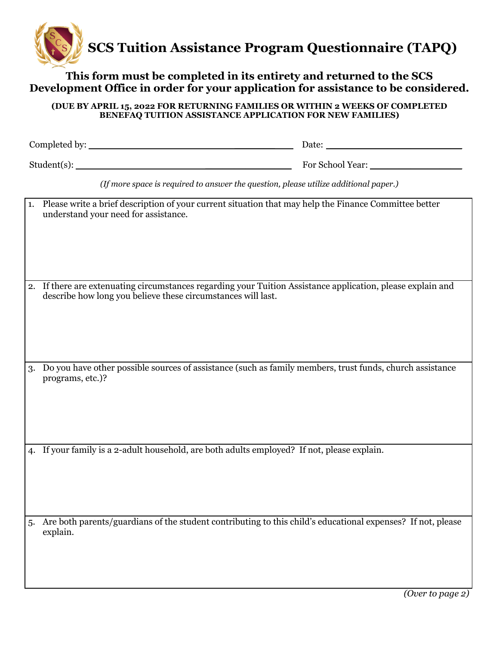

**This form must be completed in its entirety and returned to the SCS Development Office in order for your application for assistance to be considered.**

| (DUE BY APRIL 15, 2022 FOR RETURNING FAMILIES OR WITHIN 2 WEEKS OF COMPLETED<br><b>BENEFAQ TUITION ASSISTANCE APPLICATION FOR NEW FAMILIES)</b> |                                                                                                                                                                             |  |  |  |  |
|-------------------------------------------------------------------------------------------------------------------------------------------------|-----------------------------------------------------------------------------------------------------------------------------------------------------------------------------|--|--|--|--|
|                                                                                                                                                 |                                                                                                                                                                             |  |  |  |  |
|                                                                                                                                                 |                                                                                                                                                                             |  |  |  |  |
|                                                                                                                                                 | (If more space is required to answer the question, please utilize additional paper.)                                                                                        |  |  |  |  |
|                                                                                                                                                 | 1. Please write a brief description of your current situation that may help the Finance Committee better<br>understand your need for assistance.                            |  |  |  |  |
|                                                                                                                                                 | 2. If there are extenuating circumstances regarding your Tuition Assistance application, please explain and<br>describe how long you believe these circumstances will last. |  |  |  |  |
|                                                                                                                                                 | 3. Do you have other possible sources of assistance (such as family members, trust funds, church assistance<br>programs, etc.)?                                             |  |  |  |  |
|                                                                                                                                                 |                                                                                                                                                                             |  |  |  |  |
|                                                                                                                                                 | 4. If your family is a 2-adult household, are both adults employed? If not, please explain.                                                                                 |  |  |  |  |
| 5.                                                                                                                                              | Are both parents/guardians of the student contributing to this child's educational expenses? If not, please<br>explain.                                                     |  |  |  |  |